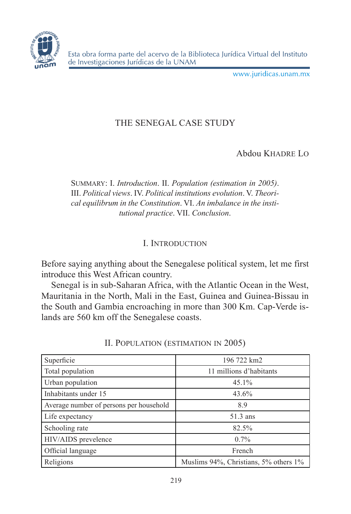

Esta obra forma parte del acervo de la Biblioteca Jurídica Virtual del Instituto de Investigaciones Jurídicas de la UNAM

www.juridicas.unam.mx

# THE SENEGAL CASE STUDY

Abdou Khadre Lo

Summary: I. *Introduction*. II. *Population (estimation in 2005)*. III. *Political views*. IV. *Political institutions evolution*. V. *Theorical equilibrum in the Constitution*. VI. *An imbalance in the institutional practice*. VII. *Conclusion*.

# I. Introduction

Before saying anything about the Senegalese political system, let me first introduce this West African country.

Senegal is in sub-Saharan Africa, with the Atlantic Ocean in the West, Mauritania in the North, Mali in the East, Guinea and Guinea-Bissau in the South and Gambia encroaching in more than 300 Km. Cap-Verde islands are 560 km off the Senegalese coasts.

| Superficie                              | 196 722 km2                           |
|-----------------------------------------|---------------------------------------|
| Total population                        | 11 millions d'habitants               |
| Urban population                        | 45.1%                                 |
| Inhabitants under 15                    | 43.6%                                 |
| Average number of persons per household | 8.9                                   |
| Life expectancy                         | 51.3 ans                              |
| Schooling rate                          | 82.5%                                 |
| HIV/AIDS prevelence                     | $0.7\%$                               |
| Official language                       | French                                |
| Religions                               | Muslims 94%, Christians, 5% others 1% |

II. Population (estimation in 2005)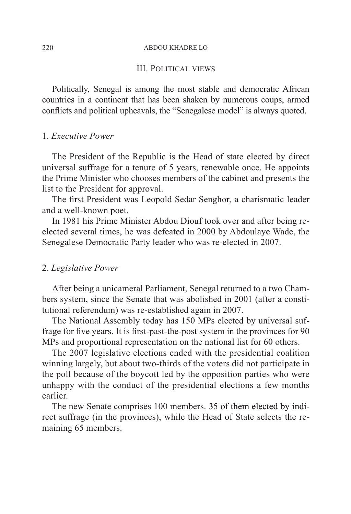#### 220 ABDOU KHADRE LO

#### III. Political views

Politically, Senegal is among the most stable and democratic African countries in a continent that has been shaken by numerous coups, armed conflicts and political upheavals, the "Senegalese model" is always quoted.

## 1. *Executive Power*

The President of the Republic is the Head of state elected by direct universal suffrage for a tenure of 5 years, renewable once. He appoints the Prime Minister who chooses members of the cabinet and presents the list to the President for approval.

The first President was Leopold Sedar Senghor, a charismatic leader and a well-known poet.

In 1981 his Prime Minister Abdou Diouf took over and after being reelected several times, he was defeated in 2000 by Abdoulaye Wade, the Senegalese Democratic Party leader who was re-elected in 2007.

#### 2. *Legislative Power*

After being a unicameral Parliament, Senegal returned to a two Chambers system, since the Senate that was abolished in 2001 (after a constitutional referendum) was re-established again in 2007.

The National Assembly today has 150 MPs elected by universal suffrage for five years. It is first-past-the-post system in the provinces for 90 MPs and proportional representation on the national list for 60 others.

The 2007 legislative elections ended with the presidential coalition winning largely, but about two-thirds of the voters did not participate in the poll because of the boycott led by the opposition parties who were unhappy with the conduct of the presidential elections a few months earlier.

The new Senate comprises 100 members. 35 of them elected by indirect suffrage (in the provinces), while the Head of State selects the remaining 65 members.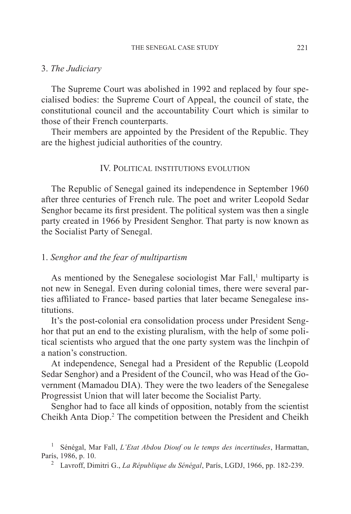#### 3. *The Judiciary*

The Supreme Court was abolished in 1992 and replaced by four specialised bodies: the Supreme Court of Appeal, the council of state, the constitutional council and the accountability Court which is similar to those of their French counterparts.

Their members are appointed by the President of the Republic. They are the highest judicial authorities of the country.

# IV. Political institutions evolution

The Republic of Senegal gained its independence in September 1960 after three centuries of French rule. The poet and writer Leopold Sedar Senghor became its first president. The political system was then a single party created in 1966 by President Senghor. That party is now known as the Socialist Party of Senegal.

### 1. *Senghor and the fear of multipartism*

As mentioned by the Senegalese sociologist Mar Fall,<sup>1</sup> multiparty is not new in Senegal. Even during colonial times, there were several parties affiliated to France- based parties that later became Senegalese institutions.

It's the post-colonial era consolidation process under President Senghor that put an end to the existing pluralism, with the help of some political scientists who argued that the one party system was the linchpin of a nation's construction.

At independence, Senegal had a President of the Republic (Leopold Sedar Senghor) and a President of the Council, who was Head of the Government (Mamadou DIA). They were the two leaders of the Senegalese Progressist Union that will later become the Socialist Party.

Senghor had to face all kinds of opposition, notably from the scientist Cheikh Anta Diop.<sup>2</sup> The competition between the President and Cheikh

<sup>1</sup> Sénégal, Mar Fall, *L'Etat Abdou Diouf ou le temps des incertitudes*, Harmattan, París, 1986, p. 10.

<sup>2</sup> Lavroff, Dimitri G., *La République du Sénégal*, París, LGDJ, 1966, pp. 182-239.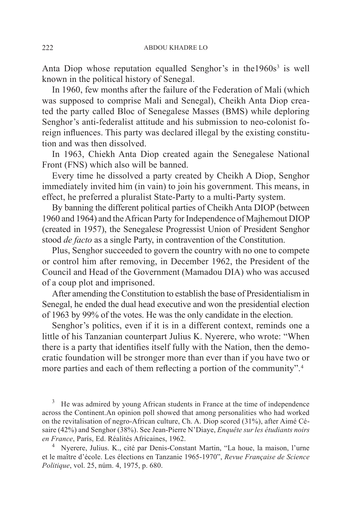Anta Diop whose reputation equalled Senghor's in the  $1960s<sup>3</sup>$  is well known in the political history of Senegal.

In 1960, few months after the failure of the Federation of Mali (which was supposed to comprise Mali and Senegal), Cheikh Anta Diop created the party called Bloc of Senegalese Masses (BMS) while deploring Senghor's anti-federalist attitude and his submission to neo-colonist foreign influences. This party was declared illegal by the existing constitution and was then dissolved.

In 1963, Chiekh Anta Diop created again the Senegalese National Front (FNS) which also will be banned.

Every time he dissolved a party created by Cheikh A Diop, Senghor immediately invited him (in vain) to join his government. This means, in effect, he preferred a pluralist State-Party to a multi-Party system.

By banning the different political parties of Cheikh Anta DIOP (between 1960 and 1964) and the African Party for Independence of Majhemout DIOP (created in 1957), the Senegalese Progressist Union of President Senghor stood *de facto* as a single Party, in contravention of the Constitution.

Plus, Senghor succeeded to govern the country with no one to compete or control him after removing, in December 1962, the President of the Council and Head of the Government (Mamadou DIA) who was accused of a coup plot and imprisoned.

After amending the Constitution to establish the base of Presidentialism in Senegal, he ended the dual head executive and won the presidential election of 1963 by 99% of the votes. He was the only candidate in the election.

Senghor's politics, even if it is in a different context, reminds one a little of his Tanzanian counterpart Julius K. Nyerere, who wrote: "When there is a party that identifies itself fully with the Nation, then the democratic foundation will be stronger more than ever than if you have two or more parties and each of them reflecting a portion of the community".<sup>4</sup>

He was admired by young African students in France at the time of independence across the Continent.An opinion poll showed that among personalities who had worked on the revitalisation of negro-African culture, Ch. A. Diop scored (31%), after Aimé Césaire (42%) and Senghor (38%). See Jean-Pierre N'Diaye, *Enquête sur les étudiants noirs en France*, París, Ed. Réalités Africaines, 1962.

4 Nyerere, Julius. K., cité par Denis-Constant Martin, "La houe, la maison, l'urne et le maître d'école. Les élections en Tanzanie 1965-1970", *Revue Française de Science Politique*, vol. 25, núm. 4, 1975, p. 680.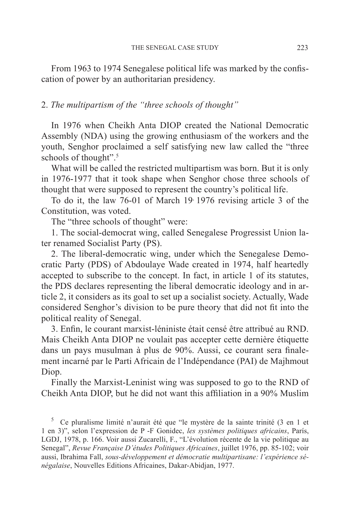From 1963 to 1974 Senegalese political life was marked by the confiscation of power by an authoritarian presidency.

# 2. *The multipartism of the "three schools of thought"*

In 1976 when Cheikh Anta DIOP created the National Democratic Assembly (NDA) using the growing enthusiasm of the workers and the youth, Senghor proclaimed a self satisfying new law called the "three schools of thought".<sup>5</sup>

What will be called the restricted multipartism was born. But it is only in 1976-1977 that it took shape when Senghor chose three schools of thought that were supposed to represent the country's political life.

To do it, the law 76-01 of March 19, 1976 revising article 3 of the Constitution, was voted.

The "three schools of thought" were:

1. The social-democrat wing, called Senegalese Progressist Union later renamed Socialist Party (PS).

2. The liberal-democratic wing, under which the Senegalese Democratic Party (PDS) of Abdoulaye Wade created in 1974, half heartedly accepted to subscribe to the concept. In fact, in article 1 of its statutes, the PDS declares representing the liberal democratic ideology and in article 2, it considers as its goal to set up a socialist society. Actually, Wade considered Senghor's division to be pure theory that did not fit into the political reality of Senegal.

3. Enfin, le courant marxist-léniniste était censé être attribué au RND. Mais Cheikh Anta DIOP ne voulait pas accepter cette dernière étiquette dans un pays musulman à plus de 90%. Aussi, ce courant sera finalement incarné par le Parti Africain de l'Indépendance (PAI) de Majhmout Diop.

Finally the Marxist-Leninist wing was supposed to go to the RND of Cheikh Anta DIOP, but he did not want this affiliation in a 90% Muslim

<sup>5</sup> Ce pluralisme limité n'aurait été que "le mystère de la sainte trinité (3 en 1 et 1 en 3)", selon l'expression de P -F Gonidec, *les systèmes politiques africains*, París, LGDJ, 1978, p. 166. Voir aussi Zucarelli, F., "L'évolution récente de la vie politique au Senegal", *Revue Française D'études Politiques Africaines*, juillet 1976, pp. 85-102; voir aussi, Ibrahima Fall, *sous-développement et démocratie multipartisane: l'expérience sénégalaise*, Nouvelles Editions Africaines, Dakar-Abidjan, 1977.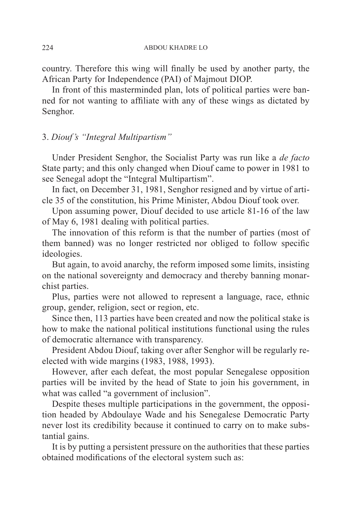country. Therefore this wing will finally be used by another party, the African Party for Independence (PAI) of Majmout DIOP.

In front of this masterminded plan, lots of political parties were banned for not wanting to affiliate with any of these wings as dictated by Senghor.

# 3. *Diouf's "Integral Multipartism"*

Under President Senghor, the Socialist Party was run like a *de facto* State party; and this only changed when Diouf came to power in 1981 to see Senegal adopt the "Integral Multipartism".

In fact, on December 31, 1981, Senghor resigned and by virtue of article 35 of the constitution, his Prime Minister, Abdou Diouf took over.

Upon assuming power, Diouf decided to use article 81-16 of the law of May 6, 1981 dealing with political parties.

The innovation of this reform is that the number of parties (most of them banned) was no longer restricted nor obliged to follow specific ideologies.

But again, to avoid anarchy, the reform imposed some limits, insisting on the national sovereignty and democracy and thereby banning monarchist parties.

Plus, parties were not allowed to represent a language, race, ethnic group, gender, religion, sect or region, etc.

Since then, 113 parties have been created and now the political stake is how to make the national political institutions functional using the rules of democratic alternance with transparency.

President Abdou Diouf, taking over after Senghor will be regularly reelected with wide margins (1983, 1988, 1993).

However, after each defeat, the most popular Senegalese opposition parties will be invited by the head of State to join his government, in what was called "a government of inclusion".

Despite theses multiple participations in the government, the opposition headed by Abdoulaye Wade and his Senegalese Democratic Party never lost its credibility because it continued to carry on to make substantial gains.

It is by putting a persistent pressure on the authorities that these parties obtained modifications of the electoral system such as: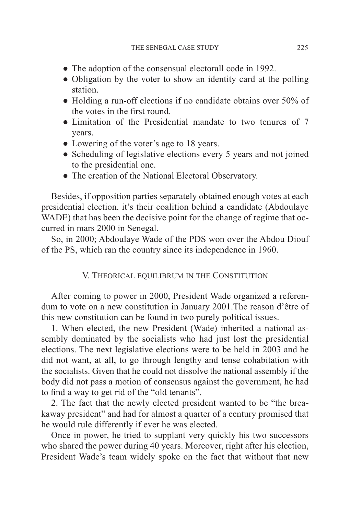- The adoption of the consensual electorall code in 1992.
- Obligation by the voter to show an identity card at the polling station.
- Holding a run-off elections if no candidate obtains over 50% of the votes in the first round.
- Limitation of the Presidential mandate to two tenures of 7 years.
- Lowering of the voter's age to 18 years.
- Scheduling of legislative elections every 5 years and not joined to the presidential one.
- The creation of the National Electoral Observatory.

Besides, if opposition parties separately obtained enough votes at each presidential election, it's their coalition behind a candidate (Abdoulaye WADE) that has been the decisive point for the change of regime that occurred in mars 2000 in Senegal.

So, in 2000; Abdoulaye Wade of the PDS won over the Abdou Diouf of the PS, which ran the country since its independence in 1960.

## V. Theorical equilibrum in the Constitution

After coming to power in 2000, President Wade organized a referendum to vote on a new constitution in January 2001.The reason d'être of this new constitution can be found in two purely political issues.

1. When elected, the new President (Wade) inherited a national assembly dominated by the socialists who had just lost the presidential elections. The next legislative elections were to be held in 2003 and he did not want, at all, to go through lengthy and tense cohabitation with the socialists. Given that he could not dissolve the national assembly if the body did not pass a motion of consensus against the government, he had to find a way to get rid of the "old tenants".

2. The fact that the newly elected president wanted to be "the breakaway president" and had for almost a quarter of a century promised that he would rule differently if ever he was elected.

Once in power, he tried to supplant very quickly his two successors who shared the power during 40 years. Moreover, right after his election, President Wade's team widely spoke on the fact that without that new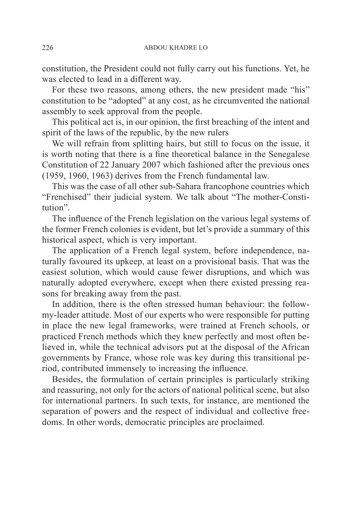constitution, the President could not fully carry out his functions. Yet, he was elected to lead in a different way.

For these two reasons, among others, the new president made "his" constitution to be "adopted" at any cost, as he circumvented the national assembly to seek approval from the people.

This political act is, in our opinion, the first breaching of the intent and spirit of the laws of the republic, by the new rulers

We will refrain from splitting hairs, but still to focus on the issue, it is worth noting that there is a fine theoretical balance in the Senegalese Constitution of 22 January 2007 which fashioned after the previous ones (1959, 1960, 1963) derives from the French fundamental law.

This was the case of all other sub-Sahara francophone countries which "Frenchised" their judicial system. We talk about "The mother-Constitution".

The influence of the French legislation on the various legal systems of the former French colonies is evident, but let's provide a summary of this historical aspect, which is very important.

The application of a French legal system, before independence, naturally favoured its upkeep, at least on a provisional basis. That was the easiest solution, which would cause fewer disruptions, and which was naturally adopted everywhere, except when there existed pressing reasons for breaking away from the past.

In addition, there is the often stressed human behaviour: the followmy-leader attitude. Most of our experts who were responsible for putting in place the new legal frameworks, were trained at French schools, or practiced French methods which they knew perfectly and most often believed in, while the technical advisors put at the disposal of the African governments by France, whose role was key during this transitional period, contributed immensely to increasing the influence.

Besides, the formulation of certain principles is particularly striking and reassuring, not only for the actors of national political scene, but also for international partners. In such texts, for instance, are mentioned the separation of powers and the respect of individual and collective freedoms. In other words, democratic principles are proclaimed.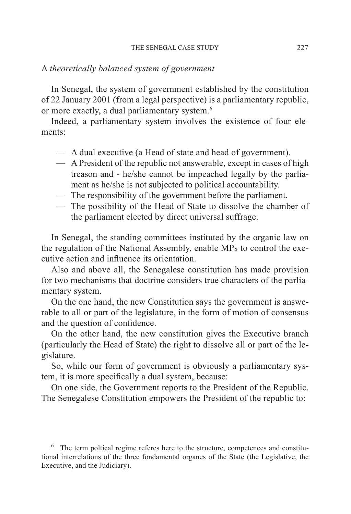### A *theoretically balanced system of government*

In Senegal, the system of government established by the constitution of 22 January 2001 (from a legal perspective) is a parliamentary republic, or more exactly, a dual parliamentary system.6

Indeed, a parliamentary system involves the existence of four elements:

- A dual executive (a Head of state and head of government).
- A President of the republic not answerable, except in cases of high treason and - he/she cannot be impeached legally by the parliament as he/she is not subjected to political accountability.
- The responsibility of the government before the parliament.
- The possibility of the Head of State to dissolve the chamber of the parliament elected by direct universal suffrage.

In Senegal, the standing committees instituted by the organic law on the regulation of the National Assembly, enable MPs to control the executive action and influence its orientation.

Also and above all, the Senegalese constitution has made provision for two mechanisms that doctrine considers true characters of the parliamentary system.

On the one hand, the new Constitution says the government is answerable to all or part of the legislature, in the form of motion of consensus and the question of confidence.

On the other hand, the new constitution gives the Executive branch (particularly the Head of State) the right to dissolve all or part of the legislature.

So, while our form of government is obviously a parliamentary system, it is more specifically a dual system, because:

On one side, the Government reports to the President of the Republic. The Senegalese Constitution empowers the President of the republic to:

 $6\sigma$  The term poltical regime referes here to the structure, competences and constitutional interrelations of the three fondamental organes of the State (the Legislative, the Executive, and the Judiciary).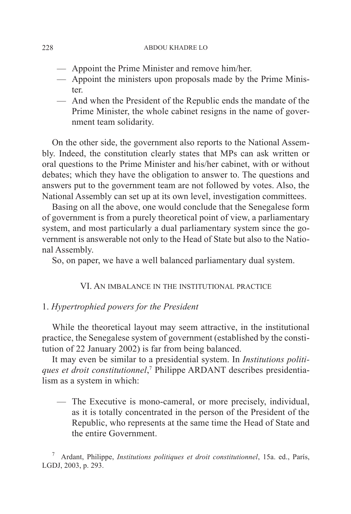#### 228 ABDOU KHADRE LO

- Appoint the Prime Minister and remove him/her.
- Appoint the ministers upon proposals made by the Prime Minister.
- And when the President of the Republic ends the mandate of the Prime Minister, the whole cabinet resigns in the name of government team solidarity.

On the other side, the government also reports to the National Assembly. Indeed, the constitution clearly states that MPs can ask written or oral questions to the Prime Minister and his/her cabinet, with or without debates; which they have the obligation to answer to. The questions and answers put to the government team are not followed by votes. Also, the National Assembly can set up at its own level, investigation committees.

Basing on all the above, one would conclude that the Senegalese form of government is from a purely theoretical point of view, a parliamentary system, and most particularly a dual parliamentary system since the government is answerable not only to the Head of State but also to the National Assembly.

So, on paper, we have a well balanced parliamentary dual system.

## VI. An imbalance in the institutional practice

## 1. *Hypertrophied powers for the President*

While the theoretical layout may seem attractive, in the institutional practice, the Senegalese system of government (established by the constitution of 22 January 2002) is far from being balanced.

It may even be similar to a presidential system. In *Institutions politiques et droit constitutionnel*, 7 Philippe ARDANT describes presidentialism as a system in which:

— The Executive is mono-cameral, or more precisely, individual, as it is totally concentrated in the person of the President of the Republic, who represents at the same time the Head of State and the entire Government.

7 Ardant, Philippe, *Institutions politiques et droit constitutionnel*, 15a. ed., París, LGDJ, 2003, p. 293.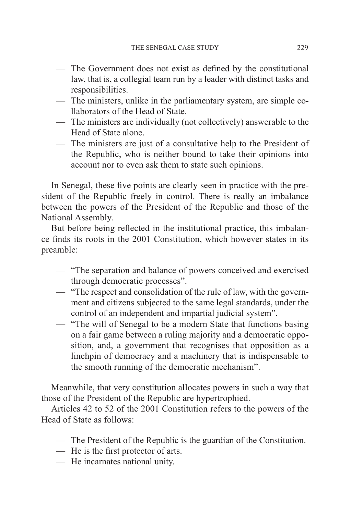- The Government does not exist as defined by the constitutional law, that is, a collegial team run by a leader with distinct tasks and responsibilities.
- The ministers, unlike in the parliamentary system, are simple collaborators of the Head of State.
- The ministers are individually (not collectively) answerable to the Head of State alone.
- The ministers are just of a consultative help to the President of the Republic, who is neither bound to take their opinions into account nor to even ask them to state such opinions.

In Senegal, these five points are clearly seen in practice with the president of the Republic freely in control. There is really an imbalance between the powers of the President of the Republic and those of the National Assembly.

But before being reflected in the institutional practice, this imbalance finds its roots in the 2001 Constitution, which however states in its preamble:

- "The separation and balance of powers conceived and exercised through democratic processes".
- "The respect and consolidation of the rule of law, with the government and citizens subjected to the same legal standards, under the control of an independent and impartial judicial system".
- "The will of Senegal to be a modern State that functions basing on a fair game between a ruling majority and a democratic opposition, and, a government that recognises that opposition as a linchpin of democracy and a machinery that is indispensable to the smooth running of the democratic mechanism".

Meanwhile, that very constitution allocates powers in such a way that those of the President of the Republic are hypertrophied.

Articles 42 to 52 of the 2001 Constitution refers to the powers of the Head of State as follows:

- The President of the Republic is the guardian of the Constitution.
- He is the first protector of arts.
- He incarnates national unity.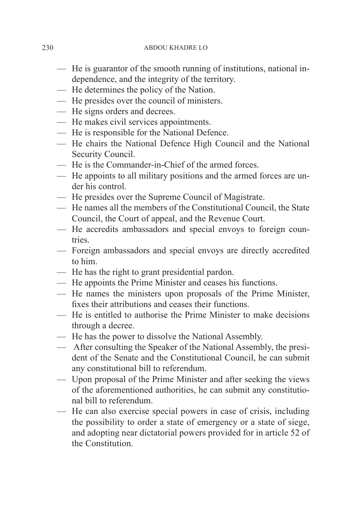230 ABDOU KHADRE LO

- He is guarantor of the smooth running of institutions, national independence, and the integrity of the territory.
- He determines the policy of the Nation.
- He presides over the council of ministers.
- He signs orders and decrees.
- He makes civil services appointments.
- He is responsible for the National Defence.
- He chairs the National Defence High Council and the National Security Council.
- He is the Commander-in-Chief of the armed forces.
- He appoints to all military positions and the armed forces are under his control.
- He presides over the Supreme Council of Magistrate.
- He names all the members of the Constitutional Council, the State Council, the Court of appeal, and the Revenue Court.
- He accredits ambassadors and special envoys to foreign coun**tries**
- Foreign ambassadors and special envoys are directly accredited to him.
- He has the right to grant presidential pardon.
- He appoints the Prime Minister and ceases his functions.
- He names the ministers upon proposals of the Prime Minister, fixes their attributions and ceases their functions.
- He is entitled to authorise the Prime Minister to make decisions through a decree.
- He has the power to dissolve the National Assembly.
- After consulting the Speaker of the National Assembly, the president of the Senate and the Constitutional Council, he can submit any constitutional bill to referendum.
- Upon proposal of the Prime Minister and after seeking the views of the aforementioned authorities, he can submit any constitutional bill to referendum.
- He can also exercise special powers in case of crisis, including the possibility to order a state of emergency or a state of siege, and adopting near dictatorial powers provided for in article 52 of the Constitution.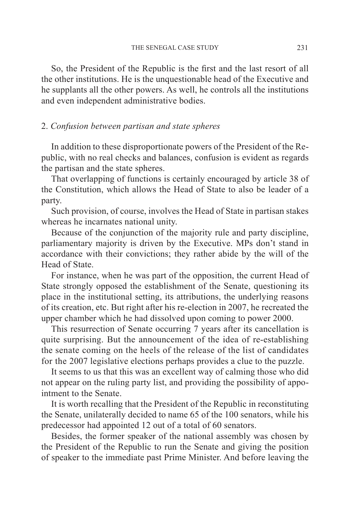So, the President of the Republic is the first and the last resort of all the other institutions. He is the unquestionable head of the Executive and he supplants all the other powers. As well, he controls all the institutions and even independent administrative bodies.

# 2. *Confusion between partisan and state spheres*

In addition to these disproportionate powers of the President of the Republic, with no real checks and balances, confusion is evident as regards the partisan and the state spheres.

That overlapping of functions is certainly encouraged by article 38 of the Constitution, which allows the Head of State to also be leader of a party.

Such provision, of course, involves the Head of State in partisan stakes whereas he incarnates national unity.

Because of the conjunction of the majority rule and party discipline, parliamentary majority is driven by the Executive. MPs don't stand in accordance with their convictions; they rather abide by the will of the Head of State.

For instance, when he was part of the opposition, the current Head of State strongly opposed the establishment of the Senate, questioning its place in the institutional setting, its attributions, the underlying reasons of its creation, etc. But right after his re-election in 2007, he recreated the upper chamber which he had dissolved upon coming to power 2000.

This resurrection of Senate occurring 7 years after its cancellation is quite surprising. But the announcement of the idea of re-establishing the senate coming on the heels of the release of the list of candidates for the 2007 legislative elections perhaps provides a clue to the puzzle.

It seems to us that this was an excellent way of calming those who did not appear on the ruling party list, and providing the possibility of appointment to the Senate.

It is worth recalling that the President of the Republic in reconstituting the Senate, unilaterally decided to name 65 of the 100 senators, while his predecessor had appointed 12 out of a total of 60 senators.

Besides, the former speaker of the national assembly was chosen by the President of the Republic to run the Senate and giving the position of speaker to the immediate past Prime Minister. And before leaving the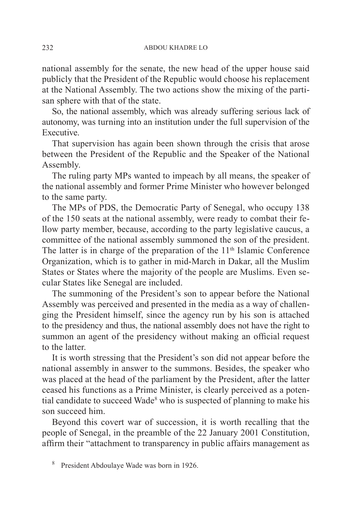national assembly for the senate, the new head of the upper house said publicly that the President of the Republic would choose his replacement at the National Assembly. The two actions show the mixing of the partisan sphere with that of the state.

So, the national assembly, which was already suffering serious lack of autonomy, was turning into an institution under the full supervision of the Executive.

That supervision has again been shown through the crisis that arose between the President of the Republic and the Speaker of the National Assembly.

The ruling party MPs wanted to impeach by all means, the speaker of the national assembly and former Prime Minister who however belonged to the same party.

The MPs of PDS, the Democratic Party of Senegal, who occupy 138 of the 150 seats at the national assembly, were ready to combat their fellow party member, because, according to the party legislative caucus, a committee of the national assembly summoned the son of the president. The latter is in charge of the preparation of the  $11<sup>th</sup>$  Islamic Conference Organization, which is to gather in mid-March in Dakar, all the Muslim States or States where the majority of the people are Muslims. Even secular States like Senegal are included.

The summoning of the President's son to appear before the National Assembly was perceived and presented in the media as a way of challenging the President himself, since the agency run by his son is attached to the presidency and thus, the national assembly does not have the right to summon an agent of the presidency without making an official request to the latter.

It is worth stressing that the President's son did not appear before the national assembly in answer to the summons. Besides, the speaker who was placed at the head of the parliament by the President, after the latter ceased his functions as a Prime Minister, is clearly perceived as a potential candidate to succeed Wade<sup>8</sup> who is suspected of planning to make his son succeed him.

Beyond this covert war of succession, it is worth recalling that the people of Senegal, in the preamble of the 22 January 2001 Constitution, affirm their "attachment to transparency in public affairs management as

8 President Abdoulaye Wade was born in 1926.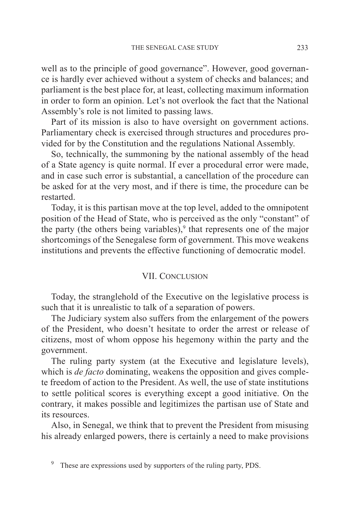well as to the principle of good governance". However, good governance is hardly ever achieved without a system of checks and balances; and parliament is the best place for, at least, collecting maximum information in order to form an opinion. Let's not overlook the fact that the National Assembly's role is not limited to passing laws.

Part of its mission is also to have oversight on government actions. Parliamentary check is exercised through structures and procedures provided for by the Constitution and the regulations National Assembly.

So, technically, the summoning by the national assembly of the head of a State agency is quite normal. If ever a procedural error were made, and in case such error is substantial, a cancellation of the procedure can be asked for at the very most, and if there is time, the procedure can be restarted.

Today, it is this partisan move at the top level, added to the omnipotent position of the Head of State, who is perceived as the only "constant" of the party (the others being variables), $9$  that represents one of the major shortcomings of the Senegalese form of government. This move weakens institutions and prevents the effective functioning of democratic model.

## VII. Conclusion

Today, the stranglehold of the Executive on the legislative process is such that it is unrealistic to talk of a separation of powers.

The Judiciary system also suffers from the enlargement of the powers of the President, who doesn't hesitate to order the arrest or release of citizens, most of whom oppose his hegemony within the party and the government.

The ruling party system (at the Executive and legislature levels), which is *de facto* dominating, weakens the opposition and gives complete freedom of action to the President. As well, the use of state institutions to settle political scores is everything except a good initiative. On the contrary, it makes possible and legitimizes the partisan use of State and its resources.

Also, in Senegal, we think that to prevent the President from misusing his already enlarged powers, there is certainly a need to make provisions

These are expressions used by supporters of the ruling party, PDS.